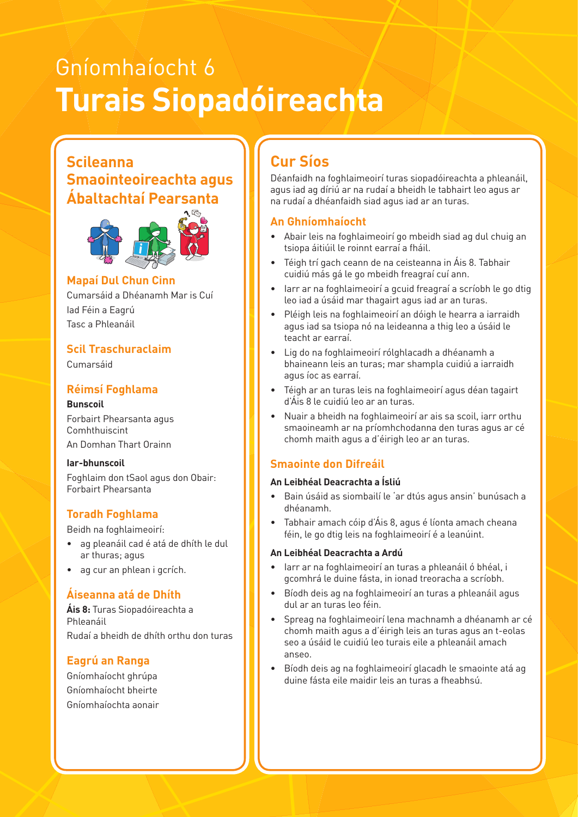# Gníomhaíocht 6 **Turais Siopadóireachta**

### **Scileanna Smaointeoireachta agus Ábaltachtaí Pearsanta**



#### **Example 2018** Mapaí Dul Chun Cinn **March 1996**

Cumarsáid a Dhéanamh Mar is Cuí Iad Féin a Eagrú Tasc a Phleanáil

#### **Scil Traschuraclaim**

Cumarsáid

#### **Réimsí Foghlama**

**Bunscoil**  Forbairt Phearsanta agus Comhthuiscint An Domhan Thart Orainn

**Iar-bhunscoil** Foghlaim don tSaol agus don Obair: Forbairt Phearsanta

#### **Toradh Foghlama**

Beidh na foghlaimeoirí:

- ag pleanáil cad é atá de dhíth le dul ar thuras; agus
- ag cur an phlean i gcrích.

#### **Áiseanna atá de Dhíth**

**Áis 8:** Turas Siopadóireachta a Phleanáil Rudaí a bheidh de dhíth orthu don turas

#### **Eagrú an Ranga**

Gníomhaíocht ghrúpa Gníomhaíocht bheirte Gníomhaíochta aonair

## **Cur Síos**

Déanfaidh na foghlaimeoirí turas siopadóireachta a phleanáil, agus iad ag díriú ar na rudaí a bheidh le tabhairt leo agus ar na rudaí a dhéanfaidh siad agus iad ar an turas.

#### **An Ghníomhaíocht**

- Abair leis na foghlaimeoirí go mbeidh siad ag dul chuig an tsiopa áitiúil le roinnt earraí a fháil.
- Téigh trí gach ceann de na ceisteanna in Áis 8. Tabhair cuidiú más gá le go mbeidh freagraí cuí ann.
- Iarr ar na foghlaimeoirí a gcuid freagraí a scríobh le go dtig leo iad a úsáid mar thagairt agus iad ar an turas.
- Pléigh leis na foghlaimeoirí an dóigh le hearra a iarraidh agus iad sa tsiopa nó na leideanna a thig leo a úsáid le teacht ar earraí.
- Lig do na foghlaimeoirí rólghlacadh a dhéanamh a bhaineann leis an turas; mar shampla cuidiú a iarraidh agus íoc as earraí.
- Téigh ar an turas leis na foghlaimeoirí agus déan tagairt d'Áis 8 le cuidiú leo ar an turas.
- Nuair a bheidh na foghlaimeoirí ar ais sa scoil, iarr orthu smaoineamh ar na príomhchodanna den turas agus ar cé chomh maith agus a d'éirigh leo ar an turas.

#### **Smaointe don Difreáil**

#### **An Leibhéal Deacrachta a Ísliú**

- Bain úsáid as siombailí le 'ar dtús agus ansin' bunúsach a dhéanamh.
- Tabhair amach cóip d'Áis 8, agus é líonta amach cheana féin, le go dtig leis na foghlaimeoirí é a leanúint.

#### **An Leibhéal Deacrachta a Ardú**

- Iarr ar na foghlaimeoirí an turas a phleanáil ó bhéal, i gcomhrá le duine fásta, in ionad treoracha a scríobh.
- Bíodh deis ag na foghlaimeoirí an turas a phleanáil agus dul ar an turas leo féin.
- Spreag na foghlaimeoirí lena machnamh a dhéanamh ar cé chomh maith agus a d'éirigh leis an turas agus an t-eolas seo a úsáid le cuidiú leo turais eile a phleanáil amach anseo.
- Bíodh deis ag na foghlaimeoirí glacadh le smaointe atá ag duine fásta eile maidir leis an turas a fheabhsú.